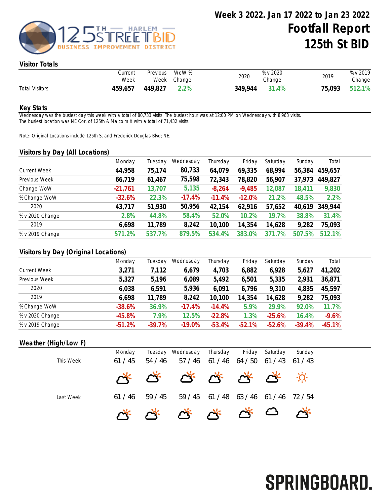

### Visitor Totals

|                       | Current<br>Week | Previous | WoW %<br>Week Change | 2020    | % v 2020<br>Change | 2019   | % v 2019<br>Change |
|-----------------------|-----------------|----------|----------------------|---------|--------------------|--------|--------------------|
| <b>Total Visitors</b> | 459,657         | 449,827  | 2.2%                 | 349.944 | 31.4%              | 75,093 | 512.1%             |

#### Key Stats

Wednesday was the busiest day this week with a total of 80,733 visits. The busiest hour was at 12:00 PM on Wednesday with 8,963 visits. The busiest location was NE Cor. of 125th & Malcolm X with a total of 71,432 visits.

Note: Original Locations include 125th St and Frederick Douglas Blvd; NE.

#### Visitors by Day (All Locations)

| $\epsilon$ |         |           |          |          |          |        |         |
|------------|---------|-----------|----------|----------|----------|--------|---------|
| Monday     | Tuesday | Wednesday | Thursday | Friday   | Saturday | Sunday | Total   |
| 44,958     | 75,174  | 80,733    | 64,079   | 69,335   | 68,994   | 56,384 | 459,657 |
| 66,719     | 61,467  | 75,598    | 72,343   | 78,820   | 56,907   | 37,973 | 449,827 |
| $-21,761$  | 13,707  | 5,135     | $-8,264$ | $-9,485$ | 2,087    | 18,411 | 9,830   |
| $-32.6%$   | 22.3%   | $-17.4%$  | $-11.4%$ | $-12.0%$ | 21.2%    | 48.5%  | 2.2%    |
| 43,717     | 51,930  | 50,956    | 42,154   | 62,916   | 57,652   | 40,619 | 349,944 |
| 2.8%       | 44.8%   | 58.4%     | 52.0%    | 10.2%    | 19.7%    | 38.8%  | 31.4%   |
| 6,698      | 11,789  | 8,242     | 10,100   | 14,354   | 14,628   | 9,282  | 75,093  |
| 571.2%     | 537.7%  | 879.5%    | 534.4%   | 383.0%   | 371.7%   | 507.5% | 512.1%  |
|            |         |           |          |          |          |        |         |

## Visitors by Day (Original Locations)

|                     | Monday   | Tuesday  | Wednesday | Thursday | Friday   | Saturday | Sunday   | Total    |
|---------------------|----------|----------|-----------|----------|----------|----------|----------|----------|
| <b>Current Week</b> | 3,271    | 7,112    | 6,679     | 4,703    | 6,882    | 6,928    | 5,627    | 41,202   |
| Previous Week       | 5,327    | 5,196    | 6,089     | 5,492    | 6,501    | 5,335    | 2,931    | 36,871   |
| 2020                | 6,038    | 6,591    | 5,936     | 6,091    | 6,796    | 9,310    | 4,835    | 45,597   |
| 2019                | 6.698    | 11,789   | 8,242     | 10,100   | 14,354   | 14,628   | 9,282    | 75,093   |
| % Change WoW        | $-38.6%$ | 36.9%    | $-17.4%$  | $-14.4%$ | 5.9%     | 29.9%    | 92.0%    | 11.7%    |
| % v 2020 Change     | $-45.8%$ | 7.9%     | 12.5%     | $-22.8%$ | 1.3%     | $-25.6%$ | 16.4%    | $-9.6%$  |
| % v 2019 Change     | $-51.2%$ | $-39.7%$ | $-19.0%$  | $-53.4%$ | $-52.1%$ | $-52.6%$ | $-39.4%$ | $-45.1%$ |

## Weather (High/Low F)

|           | Monday | Tuesday | Wednesday                                                         | Thursday | Friday      | Saturday            | Sundav  |  |
|-----------|--------|---------|-------------------------------------------------------------------|----------|-------------|---------------------|---------|--|
| This Week | 61/45  | 54/46   | 57/46                                                             | 61/46    | 64 / 50     | $61 / 43$ $61 / 43$ |         |  |
|           |        |         | $\alpha^*$ $\alpha^*$ $\alpha^*$ $\alpha^*$ $\alpha^*$ $\alpha^*$ |          |             |                     |         |  |
| Last Week | 61/46  | 59/45   | 59 / 45                                                           | 61 / 48  | 63/46 61/46 |                     | 72 / 54 |  |
|           |        |         | vis vis vis vis vis vis vis                                       |          |             |                     |         |  |

# SPRINGBOARD.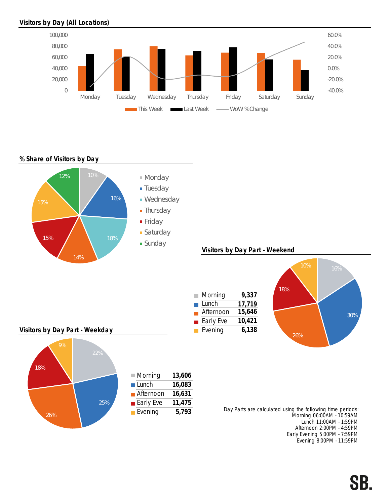# Visitors by Day (All Locations)



 $\overline{\phantom{a}}$ Ē Ē

# % Share of Visitors by Day



## Visitors by Day Part - Weekend







|     | $\blacksquare$ Morning   | 13,606 |
|-----|--------------------------|--------|
|     | $\blacksquare$ Lunch     | 16,083 |
|     | <b>■</b> Afternoon       | 16,631 |
| 25% | $\blacksquare$ Early Eve | 11,475 |
|     | $\blacksquare$ Evening   | 5,793  |

Day Parts are calculated using the following time periods: Morning 06:00AM - 10:59AM Lunch 11:00AM - 1:59PM Afternoon 2:00PM - 4:59PM Early Evening 5:00PM - 7:59PM Evening 8:00PM - 11:59PM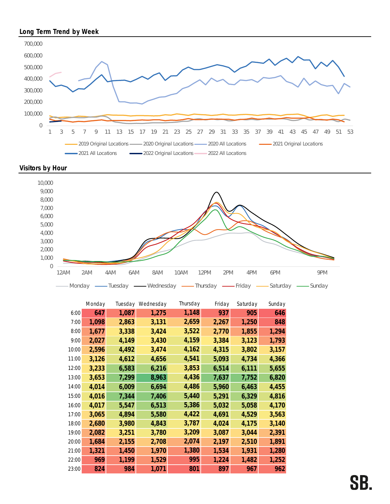# Long Term Trend by Week







|       | Monday | Tuesday | Wednesday | Thursday | Friday | Saturday | Sunday |
|-------|--------|---------|-----------|----------|--------|----------|--------|
| 6:00  | 647    | 1,087   | 1,275     | 1,148    | 937    | 905      | 646    |
| 7:00  | 1,098  | 2,863   | 3,131     | 2,659    | 2,267  | 1,250    | 848    |
| 8:00  | 1,677  | 3,338   | 3,424     | 3,522    | 2,770  | 1,855    | 1,294  |
| 9:00  | 2,027  | 4,149   | 3,430     | 4,159    | 3,384  | 3,123    | 1,793  |
| 10:00 | 2,596  | 4,492   | 3,474     | 4,162    | 4,315  | 3,802    | 3,157  |
| 11:00 | 3,126  | 4,612   | 4,656     | 4,541    | 5,093  | 4,734    | 4,366  |
| 12:00 | 3,233  | 6,583   | 6,216     | 3,853    | 6,514  | 6,111    | 5,655  |
| 13:00 | 3,653  | 7,299   | 8,963     | 4,436    | 7,637  | 7,752    | 6,820  |
| 14:00 | 4,014  | 6,009   | 6,694     | 4,486    | 5,960  | 6,463    | 4,455  |
| 15:00 | 4,016  | 7,344   | 7,406     | 5,440    | 5,291  | 6,329    | 4,816  |
| 16:00 | 4,017  | 5,547   | 6,513     | 5,386    | 5,032  | 5,058    | 4,170  |
| 17:00 | 3,065  | 4,894   | 5,580     | 4,422    | 4,691  | 4,529    | 3,563  |
| 18:00 | 2,680  | 3,980   | 4,843     | 3,787    | 4,024  | 4,175    | 3,140  |
| 19:00 | 2,082  | 3,251   | 3,780     | 3,209    | 3,087  | 3,044    | 2,391  |
| 20:00 | 1,684  | 2,155   | 2,708     | 2,074    | 2,197  | 2,510    | 1,891  |
| 21:00 | 1,321  | 1,450   | 1,970     | 1,380    | 1,534  | 1,931    | 1,280  |
| 22:00 | 969    | 1,199   | 1,529     | 995      | 1,224  | 1,482    | 1,252  |
| 23:00 | 824    | 984     | 1,071     | 801      | 897    | 967      | 962    |